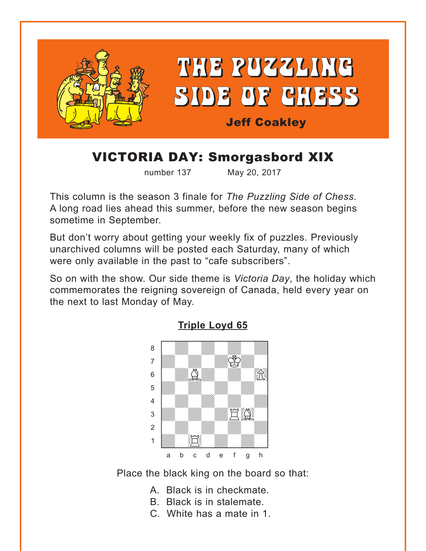<span id="page-0-0"></span>

# VICTORIA DAY: Smorgasbord XIX

number 137 May 20, 2017

This column is the season 3 finale for *The Puzzling Side of Chess*. A long road lies ahead this summer, before the new season begins sometime in September.

But don't worry about getting your weekly fix of puzzles. Previously unarchived columns will be posted each Saturday, many of which were only available in the past to "cafe subscribers".

So on with the show. Our side theme is *Victoria Day*, the holiday which commemorates the reigning sovereign of Canada, held every year on the next to last Monday of May.



**[Triple Loyd 65](#page-5-0)**

Place the black king on the board so that:

- A. Black is in checkmate.
- B. Black is in stalemate.
- C. White has a mate in 1.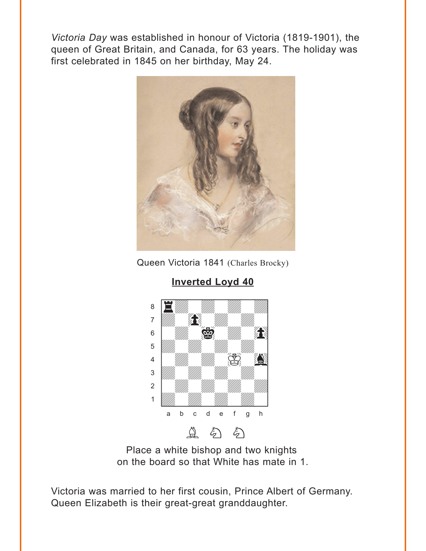<span id="page-1-0"></span>Victoria Day was established in honour of Victoria (1819-1901), the queen of Great Britain, and Canada, for 63 years. The holiday was first celebrated in 1845 on her birthday, May 24.



Queen Victoria 1841 (Charles Brocky)



**Inverted Loyd 40** 

Place a white bishop and two knights on the board so that White has mate in 1.

Victoria was married to her first cousin, Prince Albert of Germany. Queen Elizabeth is their great-great granddaughter.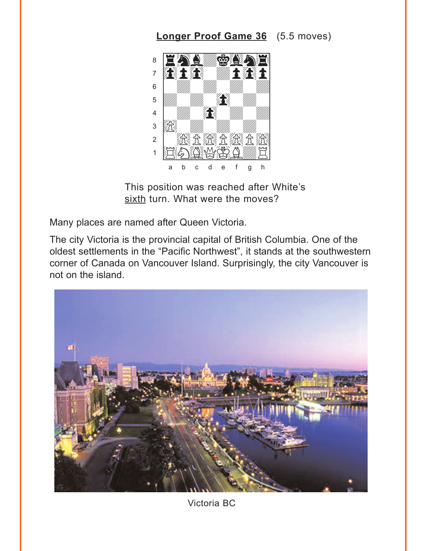# **Longer Proof Game 36** (5.5 moves)

<span id="page-2-0"></span>

This position was reached after White's sixth turn. What were the moves?

Many places are named after Queen Victoria.

The city Victoria is the provincial capital of British Columbia. One of the oldest settlements in the "Pacific Northwest", it stands at the southwestern corner of Canada on Vancouver Island. Surprisingly, the city Vancouver is not on the island.

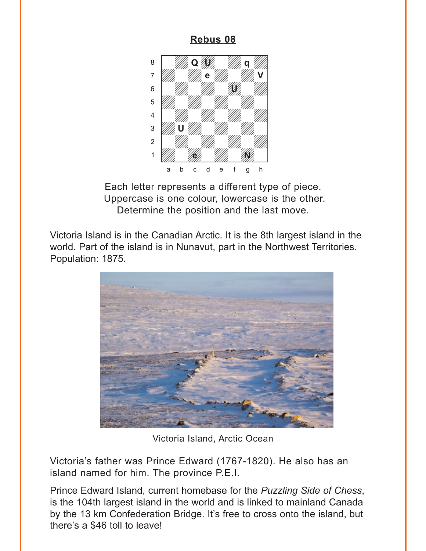### Rebus 08

<span id="page-3-0"></span>

Each letter represents a different type of piece. Uppercase is one colour, lowercase is the other. Determine the position and the last move.

Victoria Island is in the Canadian Arctic. It is the 8th largest island in the world. Part of the island is in Nunavut, part in the Northwest Territories. Population: 1875.



Victoria Island, Arctic Ocean

Victoria's father was Prince Edward (1767-1820). He also has an island named for him. The province P.E.I.

Prince Edward Island, current homebase for the Puzzling Side of Chess. is the 104th largest island in the world and is linked to mainland Canada by the 13 km Confederation Bridge. It's free to cross onto the island, but there's a \$46 toll to leave!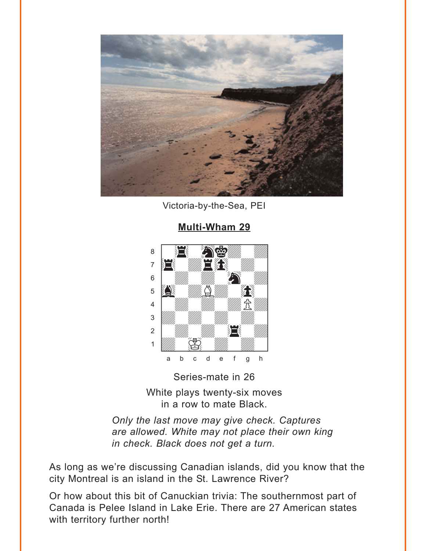<span id="page-4-0"></span>

Victoria-by-the-Sea, PEI

#### 8  $\overline{7}$  $6\phantom{1}6$ 5  $\overline{4}$ 3  $\overline{2}$  $\overline{1}$  $\mathbf b$  $\mathbf{C}$  $\mathsf{d}$  $\rm e$  $h$ a  $\mathsf f$  $\mathbf{q}$

Series-mate in 26 White plays twenty-six moves in a row to mate Black.

Only the last move may give check. Captures are allowed. White may not place their own king in check. Black does not get a turn.

As long as we're discussing Canadian islands, did you know that the city Montreal is an island in the St. Lawrence River?

Or how about this bit of Canuckian trivia: The southernmost part of Canada is Pelee Island in Lake Erie. There are 27 American states with territory further north!

## **Multi-Wham 29**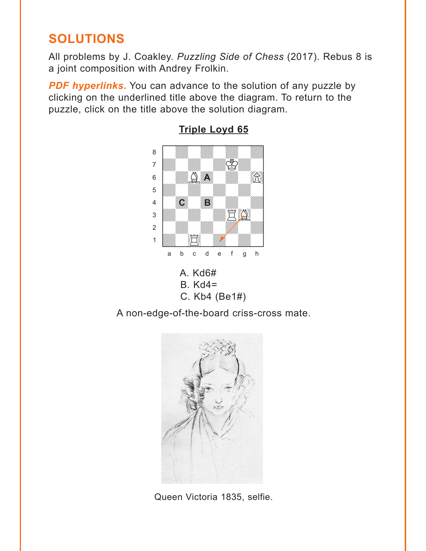# <span id="page-5-0"></span>**SOLUTIONS**

All problems by J. Coakley. Puzzling Side of Chess (2017). Rebus 8 is a joint composition with Andrey Frolkin.

**PDF hyperlinks.** You can advance to the solution of any puzzle by clicking on the underlined title above the diagram. To return to the puzzle, click on the title above the solution diagram.



**Triple Loyd 65** 

A non-edge-of-the-board criss-cross mate.



Queen Victoria 1835, selfie.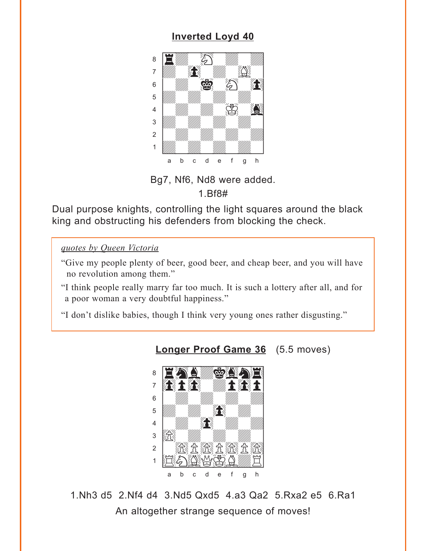## **[Inverted Loyd 40](#page-1-0)**

<span id="page-6-0"></span>

Bg7, Nf6, Nd8 were added. 1.Bf8#

Dual purpose knights, controlling the light squares around the black king and obstructing his defenders from blocking the check.

#### *quotes by Queen Victoria*

- "Give my people plenty of beer, good beer, and cheap beer, and you will have no revolution among them."
- "I think people really marry far too much. It is such a lottery after all, and for a poor woman a very doubtful happiness."
- "I don't dislike babies, though I think very young ones rather disgusting."



**[Longer Proof Game 36](#page-2-0)** (5.5 moves)

1.Nh3 d5 2.Nf4 d4 3.Nd5 Qxd5 4.a3 Qa2 5.Rxa2 e5 6.Ra1 An altogether strange sequence of moves!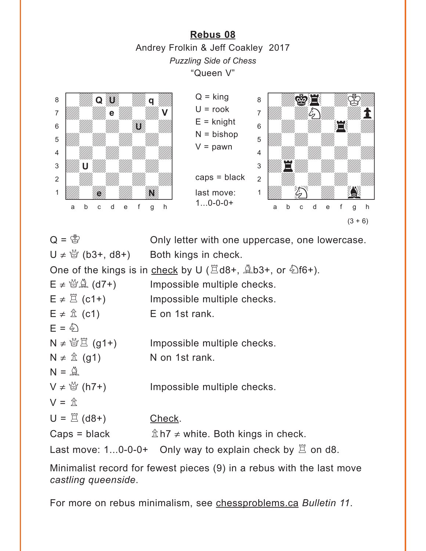**[Rebus 08](#page-3-0)** Andrey Frolkin & Jeff Coakley 2017 *Puzzling Side of Chess* "Queen V"

<span id="page-7-0"></span>

```
Q = \mathcal{B} Only letter with one uppercase, one lowercase.
U ≠ \mathcal{L} (b3+, d8+) Both kings in check.
One of the kings is in check by U (\Xid8+, \triangleb3+, or \hat{\Sigma}f6+).
E \neq \mathcal{B}(\Delta) (d7+) Impossible multiple checks.
E \neq \mathbb{Z} (c1+) Impossible multiple checks.
E \neq \hat{\mathbb{Z}} (c1) E on 1st rank.
E = \hat{\varphi}N \neq \mathcal{B}(\mathbf{g1+}) Impossible multiple checks.
N \neq \hat{\mathbb{Z}} (g1) N on 1st rank.
N = \mathcal{Q}V \neq \frac{M}{Q} (h7+) Impossible multiple checks.
V = \hat{\pi}U = \Xi (d8+) Check.
Caps = black \hat{\mathbb{Z}} h7 \neq white. Both kings in check.
Last move: 1...0-0-0+ Only way to explain check by \Xi on d8.
```
Minimalist record for fewest pieces (9) in a rebus with the last move *castling queenside*.

For more on rebus minimalism, see chessproblems.ca *Bulletin 11*.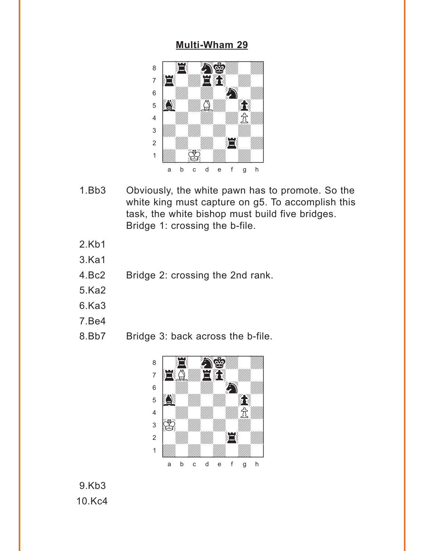#### **[Multi-Wham 29](#page-4-0)**

<span id="page-8-0"></span>

- 1.Bb3 Obviously, the white pawn has to promote. So the white king must capture on g5. To accomplish this task, the white bishop must build five bridges. Bridge 1: crossing the b-file.
- 2.Kb1
- 3.Ka1
- 4.Bc2 Bridge 2: crossing the 2nd rank.
- 5.Ka2
- 6.Ka3
- 7.Be4
- 8.Bb7 Bridge 3: back across the b-file.



9.Kb3 10.Kc4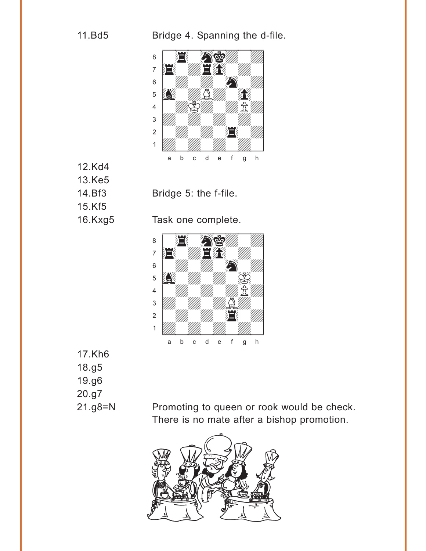11.Bd5 Bridge 4. Spanning the d-file.



12.Kd4 13.Ke5 15.Kf5



16.Kxg5 Task one complete.



17.Kh6 18.g5 19.g6 20.g7

21.g8=N Promoting to queen or rook would be check. There is no mate after a bishop promotion.